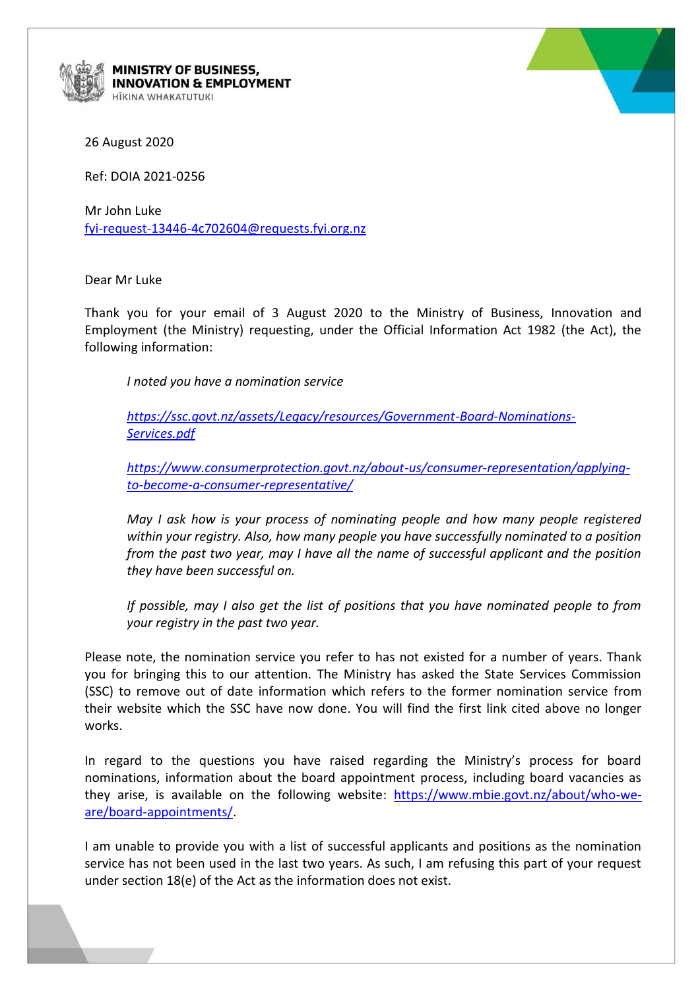

MINISTRY OF BUSINESS, **INNOVATION & EMPLOYMENT ITKINA WHAKATUTUKI** 



26 August 2020

Ref: DOIA 2021-0256

Mr John Luke [fyi-request-13446-4c702604@requests.fyi.org.nz](mailto:xxxxxxxxxxxxxxxxxxxxxxxxxx@xxxxxxxx.xxx.xxx.xx)

Dear Mr Luke

Thank you for your email of 3 August 2020 to the Ministry of Business, Innovation and Employment (the Ministry) requesting, under the Official Information Act 1982 (the Act), the following information:

*I noted you have a nomination service*

*[https://ssc.govt.nz/assets/Legacy/resources/Government-Board-Nominations-](https://ssc.govt.nz/assets/Legacy/resources/Government-Board-Nominations-Services.pdf)[Services.pdf](https://ssc.govt.nz/assets/Legacy/resources/Government-Board-Nominations-Services.pdf)*

*[https://www.consumerprotection.govt.nz/about-us/consumer-representation/applying](https://www.consumerprotection.govt.nz/about-us/consumer-representation/applying-to-become-a-consumer-representative/)[to-become-a-consumer-representative/](https://www.consumerprotection.govt.nz/about-us/consumer-representation/applying-to-become-a-consumer-representative/)*

*May I ask how is your process of nominating people and how many people registered within your registry. Also, how many people you have successfully nominated to a position from the past two year, may I have all the name of successful applicant and the position they have been successful on.* 

*If possible, may I also get the list of positions that you have nominated people to from your registry in the past two year.*

Please note, the nomination service you refer to has not existed for a number of years. Thank you for bringing this to our attention. The Ministry has asked the State Services Commission (SSC) to remove out of date information which refers to the former nomination service from their website which the SSC have now done. You will find the first link cited above no longer works.

In regard to the questions you have raised regarding the Ministry's process for board nominations, information about the board appointment process, including board vacancies as they arise, is available on the following website: [https://www.mbie.govt.nz/about/who-we](https://www.mbie.govt.nz/about/who-we-are/board-appointments/)[are/board-appointments/.](https://www.mbie.govt.nz/about/who-we-are/board-appointments/)

I am unable to provide you with a list of successful applicants and positions as the nomination service has not been used in the last two years. As such, I am refusing this part of your request under section 18(e) of the Act as the information does not exist.